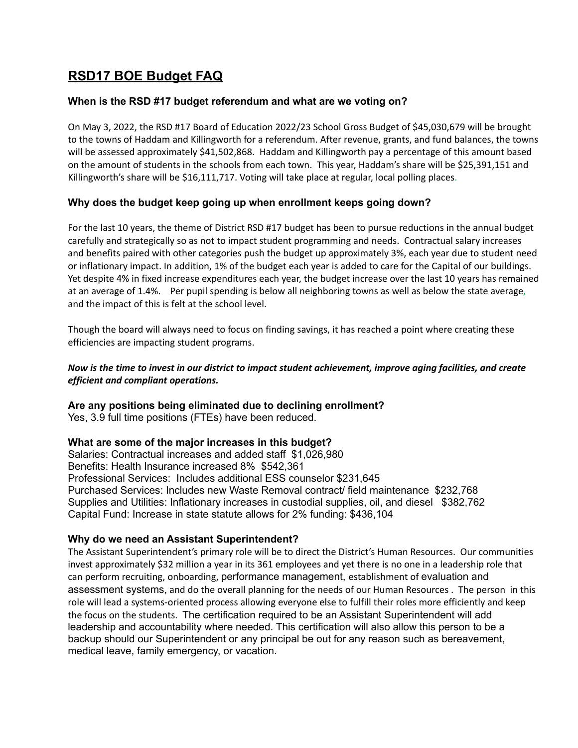## **RSD17 BOE Budget FAQ**

## **When is the RSD #17 budget referendum and what are we voting on?**

On May 3, 2022, the RSD #17 Board of Education 2022/23 School Gross Budget of \$45,030,679 will be brought to the towns of Haddam and Killingworth for a referendum. After revenue, grants, and fund balances, the towns will be assessed approximately \$41,502,868. Haddam and Killingworth pay a percentage of this amount based on the amount of students in the schools from each town. This year, Haddam's share will be \$25,391,151 and Killingworth's share will be \$16,111,717. Voting will take place at regular, local polling places.

## **Why does the budget keep going up when enrollment keeps going down?**

For the last 10 years, the theme of District RSD #17 budget has been to pursue reductions in the annual budget carefully and strategically so as not to impact student programming and needs. Contractual salary increases and benefits paired with other categories push the budget up approximately 3%, each year due to student need or inflationary impact. In addition, 1% of the budget each year is added to care for the Capital of our buildings. Yet despite 4% in fixed increase expenditures each year, the budget increase over the last 10 years has remained at an average of 1.4%. Per pupil spending is below all neighboring towns as well as below the state average, and the impact of this is felt at the school level.

Though the board will always need to focus on finding savings, it has reached a point where creating these efficiencies are impacting student programs.

## Now is the time to invest in our district to impact student achievement, improve aging facilities, and create *efficient and compliant operations.*

## **Are any positions being eliminated due to declining enrollment?**

Yes, 3.9 full time positions (FTEs) have been reduced.

## **What are some of the major increases in this budget?**

Salaries: Contractual increases and added staff \$1,026,980 Benefits: Health Insurance increased 8% \$542,361 Professional Services: Includes additional ESS counselor \$231,645 Purchased Services: Includes new Waste Removal contract/ field maintenance \$232,768 Supplies and Utilities: Inflationary increases in custodial supplies, oil, and diesel \$382,762 Capital Fund: Increase in state statute allows for 2% funding: \$436,104

## **Why do we need an Assistant Superintendent?**

The Assistant Superintendent's primary role will be to direct the District's Human Resources. Our communities invest approximately \$32 million a year in its 361 employees and yet there is no one in a leadership role that can perform recruiting, onboarding, performance management, establishment of evaluation and assessment systems, and do the overall planning for the needs of our Human Resources . The person in this role will lead a systems-oriented process allowing everyone else to fulfill their roles more efficiently and keep the focus on the students. The certification required to be an Assistant Superintendent will add leadership and accountability where needed. This certification will also allow this person to be a backup should our Superintendent or any principal be out for any reason such as bereavement, medical leave, family emergency, or vacation.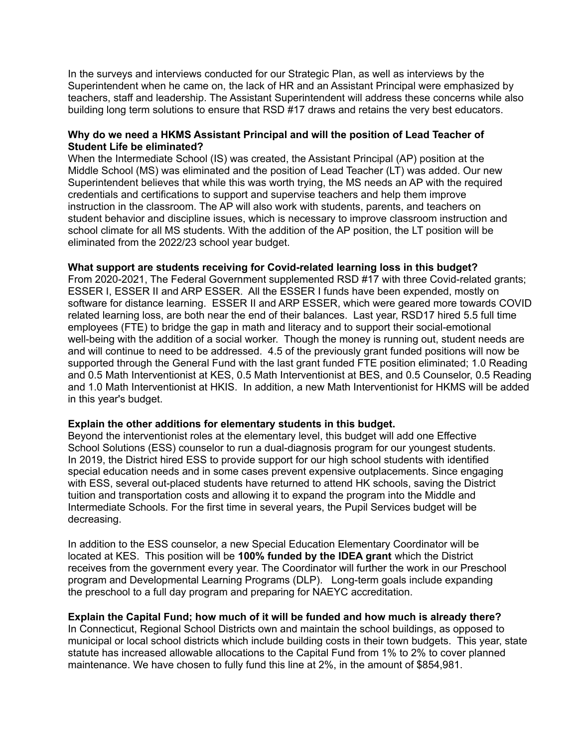In the surveys and interviews conducted for our Strategic Plan, as well as interviews by the Superintendent when he came on, the lack of HR and an Assistant Principal were emphasized by teachers, staff and leadership. The Assistant Superintendent will address these concerns while also building long term solutions to ensure that RSD #17 draws and retains the very best educators.

#### **Why do we need a HKMS Assistant Principal and will the position of Lead Teacher of Student Life be eliminated?**

When the Intermediate School (IS) was created, the Assistant Principal (AP) position at the Middle School (MS) was eliminated and the position of Lead Teacher (LT) was added. Our new Superintendent believes that while this was worth trying, the MS needs an AP with the required credentials and certifications to support and supervise teachers and help them improve instruction in the classroom. The AP will also work with students, parents, and teachers on student behavior and discipline issues, which is necessary to improve classroom instruction and school climate for all MS students. With the addition of the AP position, the LT position will be eliminated from the 2022/23 school year budget.

#### **What support are students receiving for Covid-related learning loss in this budget?**

From 2020-2021, The Federal Government supplemented RSD #17 with three Covid-related grants; ESSER I, ESSER II and ARP ESSER. All the ESSER I funds have been expended, mostly on software for distance learning. ESSER II and ARP ESSER, which were geared more towards COVID related learning loss, are both near the end of their balances. Last year, RSD17 hired 5.5 full time employees (FTE) to bridge the gap in math and literacy and to support their social-emotional well-being with the addition of a social worker. Though the money is running out, student needs are and will continue to need to be addressed. 4.5 of the previously grant funded positions will now be supported through the General Fund with the last grant funded FTE position eliminated; 1.0 Reading and 0.5 Math Interventionist at KES, 0.5 Math Interventionist at BES, and 0.5 Counselor, 0.5 Reading and 1.0 Math Interventionist at HKIS. In addition, a new Math Interventionist for HKMS will be added in this year's budget.

#### **Explain the other additions for elementary students in this budget.**

Beyond the interventionist roles at the elementary level, this budget will add one Effective School Solutions (ESS) counselor to run a dual-diagnosis program for our youngest students. In 2019, the District hired ESS to provide support for our high school students with identified special education needs and in some cases prevent expensive outplacements. Since engaging with ESS, several out-placed students have returned to attend HK schools, saving the District tuition and transportation costs and allowing it to expand the program into the Middle and Intermediate Schools. For the first time in several years, the Pupil Services budget will be decreasing.

In addition to the ESS counselor, a new Special Education Elementary Coordinator will be located at KES. This position will be **100% funded by the IDEA grant** which the District receives from the government every year. The Coordinator will further the work in our Preschool program and Developmental Learning Programs (DLP). Long-term goals include expanding the preschool to a full day program and preparing for NAEYC accreditation.

#### **Explain the Capital Fund; how much of it will be funded and how much is already there?**

In Connecticut, Regional School Districts own and maintain the school buildings, as opposed to municipal or local school districts which include building costs in their town budgets. This year, state statute has increased allowable allocations to the Capital Fund from 1% to 2% to cover planned maintenance. We have chosen to fully fund this line at 2%, in the amount of \$854,981.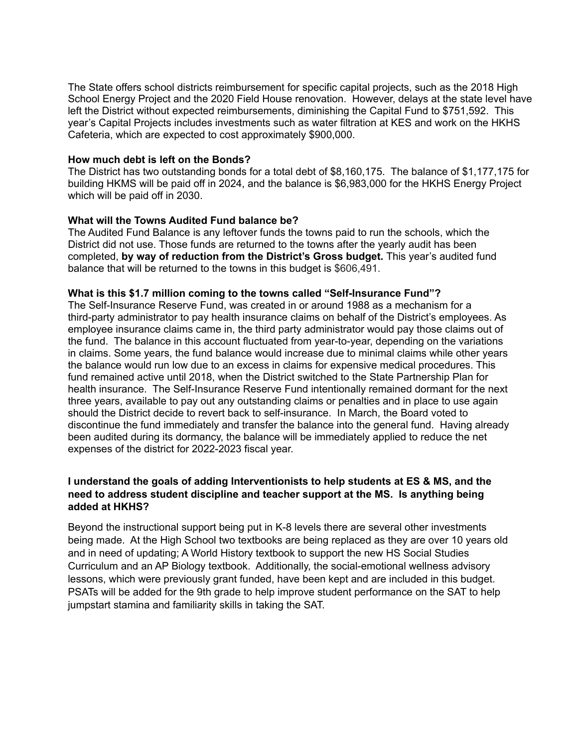The State offers school districts reimbursement for specific capital projects, such as the 2018 High School Energy Project and the 2020 Field House renovation. However, delays at the state level have left the District without expected reimbursements, diminishing the Capital Fund to \$751,592. This year's Capital Projects includes investments such as water filtration at KES and work on the HKHS Cafeteria, which are expected to cost approximately \$900,000.

#### **How much debt is left on the Bonds?**

The District has two outstanding bonds for a total debt of \$8,160,175. The balance of \$1,177,175 for building HKMS will be paid off in 2024, and the balance is \$6,983,000 for the HKHS Energy Project which will be paid off in 2030.

## **What will the Towns Audited Fund balance be?**

The Audited Fund Balance is any leftover funds the towns paid to run the schools, which the District did not use. Those funds are returned to the towns after the yearly audit has been completed, **by way of reduction from the District's Gross budget.** This year's audited fund balance that will be returned to the towns in this budget is \$606,491.

## **What is this \$1.7 million coming to the towns called "Self-Insurance Fund"?**

The Self-Insurance Reserve Fund, was created in or around 1988 as a mechanism for a third-party administrator to pay health insurance claims on behalf of the District's employees. As employee insurance claims came in, the third party administrator would pay those claims out of the fund. The balance in this account fluctuated from year-to-year, depending on the variations in claims. Some years, the fund balance would increase due to minimal claims while other years the balance would run low due to an excess in claims for expensive medical procedures. This fund remained active until 2018, when the District switched to the State Partnership Plan for health insurance. The Self-Insurance Reserve Fund intentionally remained dormant for the next three years, available to pay out any outstanding claims or penalties and in place to use again should the District decide to revert back to self-insurance. In March, the Board voted to discontinue the fund immediately and transfer the balance into the general fund. Having already been audited during its dormancy, the balance will be immediately applied to reduce the net expenses of the district for 2022-2023 fiscal year.

## **I understand the goals of adding Interventionists to help students at ES & MS, and the need to address student discipline and teacher support at the MS. Is anything being added at HKHS?**

Beyond the instructional support being put in K-8 levels there are several other investments being made. At the High School two textbooks are being replaced as they are over 10 years old and in need of updating; A World History textbook to support the new HS Social Studies Curriculum and an AP Biology textbook. Additionally, the social-emotional wellness advisory lessons, which were previously grant funded, have been kept and are included in this budget. PSATs will be added for the 9th grade to help improve student performance on the SAT to help jumpstart stamina and familiarity skills in taking the SAT.